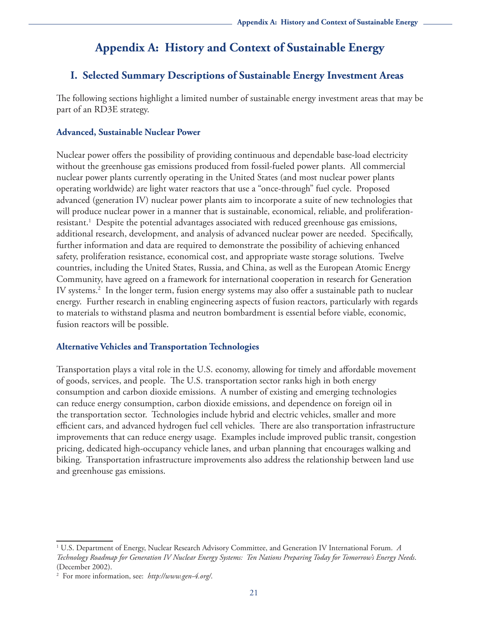# **Appendix A: History and Context of Sustainable Energy**

# **I. Selected Summary Descriptions of Sustainable Energy Investment Areas**

The following sections highlight a limited number of sustainable energy investment areas that may be part of an RD3E strategy.

# **Advanced, Sustainable Nuclear Power**

Nuclear power offers the possibility of providing continuous and dependable base-load electricity without the greenhouse gas emissions produced from fossil-fueled power plants. All commercial nuclear power plants currently operating in the United States (and most nuclear power plants operating worldwide) are light water reactors that use a "once-through" fuel cycle. Proposed advanced (generation IV) nuclear power plants aim to incorporate a suite of new technologies that will produce nuclear power in a manner that is sustainable, economical, reliable, and proliferationresistant.<sup>1</sup> Despite the potential advantages associated with reduced greenhouse gas emissions, additional research, development, and analysis of advanced nuclear power are needed. Specifically, further information and data are required to demonstrate the possibility of achieving enhanced safety, proliferation resistance, economical cost, and appropriate waste storage solutions. Twelve countries, including the United States, Russia, and China, as well as the European Atomic Energy Community, have agreed on a framework for international cooperation in research for Generation IV systems.2 In the longer term, fusion energy systems may also offer a sustainable path to nuclear energy. Further research in enabling engineering aspects of fusion reactors, particularly with regards to materials to withstand plasma and neutron bombardment is essential before viable, economic, fusion reactors will be possible.

# **Alternative Vehicles and Transportation Technologies**

Transportation plays a vital role in the U.S. economy, allowing for timely and affordable movement of goods, services, and people. The U.S. transportation sector ranks high in both energy consumption and carbon dioxide emissions. A number of existing and emerging technologies can reduce energy consumption, carbon dioxide emissions, and dependence on foreign oil in the transportation sector. Technologies include hybrid and electric vehicles, smaller and more efficient cars, and advanced hydrogen fuel cell vehicles. There are also transportation infrastructure improvements that can reduce energy usage. Examples include improved public transit, congestion pricing, dedicated high-occupancy vehicle lanes, and urban planning that encourages walking and biking. Transportation infrastructure improvements also address the relationship between land use and greenhouse gas emissions.

<sup>1</sup> U.S. Department of Energy, Nuclear Research Advisory Committee, and Generation IV International Forum. *A Technology Roadmap for Generation IV Nuclear Energy Systems: Ten Nations Preparing Today for Tomorrow's Energy Needs*. (December 2002).

<sup>2</sup> For more information, see: *http://www.gen-4.org/*.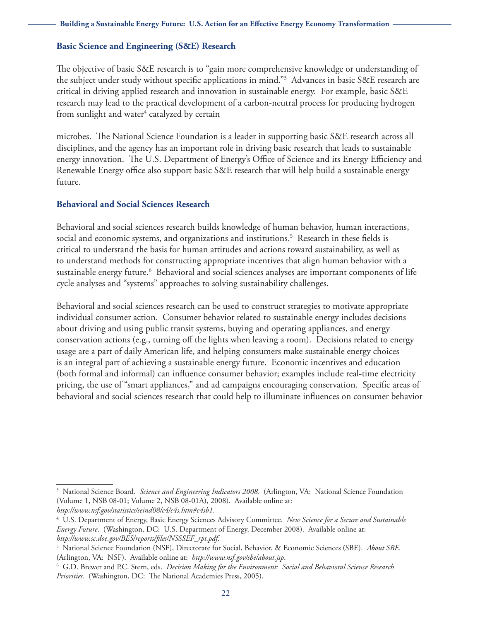### **Basic Science and Engineering (S&E) Research**

The objective of basic S&E research is to "gain more comprehensive knowledge or understanding of the subject under study without specific applications in mind."3 Advances in basic S&E research are critical in driving applied research and innovation in sustainable energy. For example, basic S&E research may lead to the practical development of a carbon-neutral process for producing hydrogen from sunlight and water $^4$  catalyzed by certain

microbes. The National Science Foundation is a leader in supporting basic S&E research across all disciplines, and the agency has an important role in driving basic research that leads to sustainable energy innovation. The U.S. Department of Energy's Office of Science and its Energy Efficiency and Renewable Energy office also support basic S&E research that will help build a sustainable energy future.

## **Behavioral and Social Sciences Research**

Behavioral and social sciences research builds knowledge of human behavior, human interactions, social and economic systems, and organizations and institutions.<sup>5</sup> Research in these fields is critical to understand the basis for human attitudes and actions toward sustainability, as well as to understand methods for constructing appropriate incentives that align human behavior with a sustainable energy future.6 Behavioral and social sciences analyses are important components of life cycle analyses and "systems" approaches to solving sustainability challenges.

Behavioral and social sciences research can be used to construct strategies to motivate appropriate individual consumer action. Consumer behavior related to sustainable energy includes decisions about driving and using public transit systems, buying and operating appliances, and energy conservation actions (e.g., turning off the lights when leaving a room). Decisions related to energy usage are a part of daily American life, and helping consumers make sustainable energy choices is an integral part of achieving a sustainable energy future. Economic incentives and education (both formal and informal) can influence consumer behavior; examples include real-time electricity pricing, the use of "smart appliances," and ad campaigns encouraging conservation. Specific areas of behavioral and social sciences research that could help to illuminate influences on consumer behavior

<sup>&</sup>lt;sup>3</sup> National Science Board. *Science and Engineering Indicators 2008*. (Arlington, VA: National Science Foundation (Volume 1, NSB 08-01; Volume 2, NSB 08-01A), 2008). Available online at: *[http://www.nsf.gov/statistics/seind08/c4/c4s.htm#c4sb1](http://www.nsf.gov/statistics/seind08/c4/c4s.htm#c4sb1.4)*.

<sup>4</sup> U.S. Department of Energy, Basic Energy Sciences Advisory Committee. *New Science for a Secure and Sustainable Energy Future*. (Washington, DC: U.S. Department of Energy, December 2008). Available online at: *http://www.sc.doe.gov/BES/reports/files/NSSSEF\_rpt.pdf*[.](http://www.sc.doe.gov/BES/reports/files/NSSSEF_rpt.pdf) 5

National Science Foundation (NSF), Directorate for Social, Behavior, & Economic Sciences (SBE). *About SBE*. (Arlington, VA: NSF). Available online at: *[http://www.nsf.gov/sbe/about.jsp](http://www.nsf.gov/sbe/about.jsp.6)*.

<sup>6</sup>  [G](http://www.nsf.gov/sbe/about.jsp.6).D. Brewer and P.C. Stern, eds. *Decision Making for the Environment: Social and Behavioral Science Research Priorities.* (Washington, DC: The National Academies Press, 2005).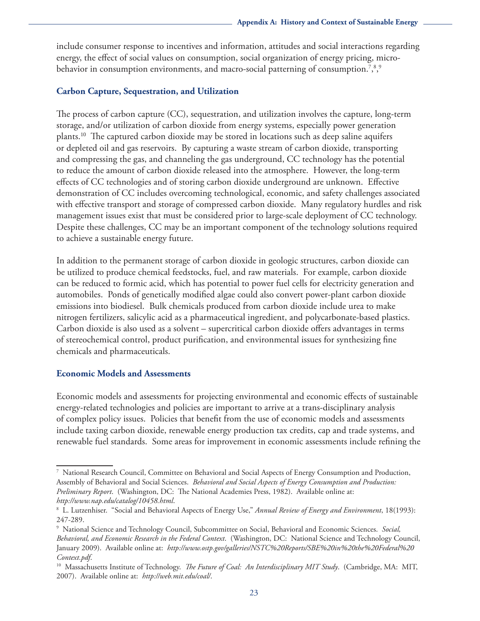include consumer response to incentives and information, attitudes and social interactions regarding energy, the effect of social values on consumption, social organization of energy pricing, microbehavior in consumption environments, and macro-social patterning of consumption.<sup>7,8,9</sup>

# **Carbon Capture, Sequestration, and Utilization**

The process of carbon capture (CC), sequestration, and utilization involves the capture, long-term storage, and/or utilization of carbon dioxide from energy systems, especially power generation plants.<sup>10</sup> The captured carbon dioxide may be stored in locations such as deep saline aquifers or depleted oil and gas reservoirs. By capturing a waste stream of carbon dioxide, transporting and compressing the gas, and channeling the gas underground, CC technology has the potential to reduce the amount of carbon dioxide released into the atmosphere. However, the long-term effects of CC technologies and of storing carbon dioxide underground are unknown. Effective demonstration of CC includes overcoming technological, economic, and safety challenges associated with effective transport and storage of compressed carbon dioxide. Many regulatory hurdles and risk management issues exist that must be considered prior to large-scale deployment of CC technology. Despite these challenges, CC may be an important component of the technology solutions required to achieve a sustainable energy future.

In addition to the permanent storage of carbon dioxide in geologic structures, carbon dioxide can be utilized to produce chemical feedstocks, fuel, and raw materials. For example, carbon dioxide can be reduced to formic acid, which has potential to power fuel cells for electricity generation and automobiles. Ponds of genetically modified algae could also convert power-plant carbon dioxide emissions into biodiesel. Bulk chemicals produced from carbon dioxide include urea to make nitrogen fertilizers, salicylic acid as a pharmaceutical ingredient, and polycarbonate-based plastics. Carbon dioxide is also used as a solvent – supercritical carbon dioxide offers advantages in terms of stereochemical control, product purification, and environmental issues for synthesizing fine chemicals and pharmaceuticals.

# **Economic Models and Assessments**

Economic models and assessments for projecting environmental and economic effects of sustainable energy-related technologies and policies are important to arrive at a trans-disciplinary analysis of complex policy issues. Policies that benefit from the use of economic models and assessments include taxing carbon dioxide, renewable energy production tax credits, cap and trade systems, and renewable fuel standards. Some areas for improvement in economic assessments include refining the

<sup>7</sup> National Research Council, Committee on Behavioral and Social Aspects of Energy Consumption and Production, Assembly of Behavioral and Social Sciences. *Behavioral and Social Aspects of Energy Consumption and Production: Preliminary Report*. (Washington, DC: The National Academies Press, 1982). Available online at: *[http://www.nap.edu/catalog/10458.html](http://www.nap.edu/catalog/10458.html.8)*.

<sup>8</sup>  [L](http://www.nap.edu/catalog/10458.html.8). Lutzenhiser. "Social and Behavioral Aspects of Energy Use," *Annual Review of Energy and Environment*, 18(1993): 247-289.

<sup>9</sup> National Science and Technology Council, Subcommittee on Social, Behavioral and Economic Sciences. *Social, Behavioral, and Economic Research in the Federal Context*. (Washington, DC: National Science and Technology Council, January 2009). Available online at: *[http://www.ostp.gov/galleries/NSTC%20Reports/SBE%20in%20the%20Federal%20](http://www.ostp.gov/galleries/NSTC%20Reports/SBE%20in%20the%20Federal%20Context.pdf)*

*Context.pdf*[.](http://www.ostp.gov/galleries/NSTC%20Reports/SBE%20in%20the%20Federal%20Context.pdf) 10 Massachusetts Institute of Technology. *The Future of Coal: An Interdisciplinary MIT Study*. (Cambridge, MA: MIT, 2007). Available online at: *[http://web.mit.edu/coal/](http://www.ostp.gov/galleries/NSTC%20Reports/SBE%20in%20the%20Federal%20Context.pdf)*.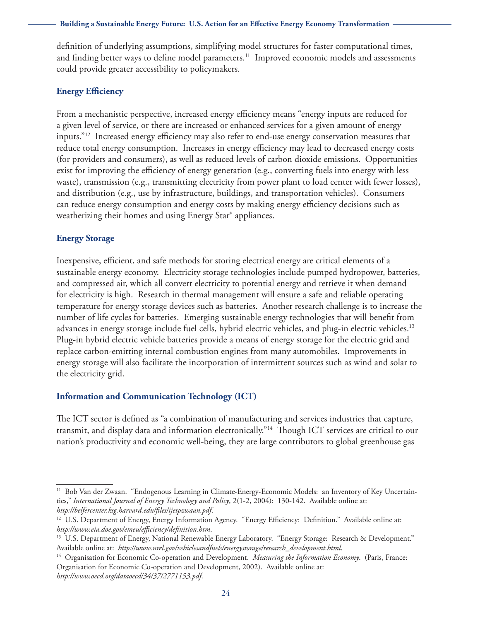definition of underlying assumptions, simplifying model structures for faster computational times, and finding better ways to define model parameters.<sup>11</sup> Improved economic models and assessments could provide greater accessibility to policymakers.

## **Energy Efficiency**

From a mechanistic perspective, increased energy efficiency means "energy inputs are reduced for a given level of service, or there are increased or enhanced services for a given amount of energy inputs."12 Increased energy efficiency may also refer to end-use energy conservation measures that reduce total energy consumption. Increases in energy efficiency may lead to decreased energy costs (for providers and consumers), as well as reduced levels of carbon dioxide emissions. Opportunities exist for improving the efficiency of energy generation (e.g., converting fuels into energy with less waste), transmission (e.g., transmitting electricity from power plant to load center with fewer losses), and distribution (e.g., use by infrastructure, buildings, and transportation vehicles). Consumers can reduce energy consumption and energy costs by making energy efficiency decisions such as weatherizing their homes and using Energy Star® appliances.

# **Energy Storage**

Inexpensive, efficient, and safe methods for storing electrical energy are critical elements of a sustainable energy economy. Electricity storage technologies include pumped hydropower, batteries, and compressed air, which all convert electricity to potential energy and retrieve it when demand for electricity is high. Research in thermal management will ensure a safe and reliable operating temperature for energy storage devices such as batteries. Another research challenge is to increase the number of life cycles for batteries. Emerging sustainable energy technologies that will benefit from advances in energy storage include fuel cells, hybrid electric vehicles, and plug-in electric vehicles.<sup>13</sup> Plug-in hybrid electric vehicle batteries provide a means of energy storage for the electric grid and replace carbon-emitting internal combustion engines from many automobiles. Improvements in energy storage will also facilitate the incorporation of intermittent sources such as wind and solar to the electricity grid.

## **Information and Communication Technology (ICT)**

The ICT sector is defined as "a combination of manufacturing and services industries that capture, transmit, and display data and information electronically."14 Though ICT services are critical to our nation's productivity and economic well-being, they are large contributors to global greenhouse gas

<sup>&</sup>lt;sup>11</sup> Bob Van der Zwaan. "Endogenous Learning in Climate-Energy-Economic Models: an Inventory of Key Uncertainties," *International Journal of Energy Technology and Policy*, 2(1-2, 2004): 130-142. Available online at:

*http://belfercenter.ksg.harvard.edu/files/ijetpzwaan.pdf.*<br><sup>12</sup> U.S[.](http://belfercenter.ksg.harvard.edu/files/ijetpzwaan.pdf) Department of Energy, Energy Information Agency. "Energy Efficiency: Definition." Available online at: *[http://www.eia.doe.gov/emeu/efficiency/definition.htm](http://www.eia.doe.gov/emeu/efficiency/definition.htm.13)*.

<sup>&</sup>lt;sup>13</sup> U.S. Department of Energy, National Renewable Energy Laboratory. "Energy Storage: Research & Development." Available online at: *[http://www.nrel.gov/vehiclesandfuels/energystorage/research\\_development.html](http://www.nrel.gov/vehiclesandfuels/energystorage/research_development.html.14)*.

[<sup>14</sup> O](http://www.nrel.gov/vehiclesandfuels/energystorage/research_development.html.14)rganisation for Economic Co-operation and Development. *Measuring the Information Economy*. (Paris, France: Organisation for Economic Co-operation and Development, 2002). Available online at: *http://www.oecd.org/dataoecd/34/37/2771153.pdf*.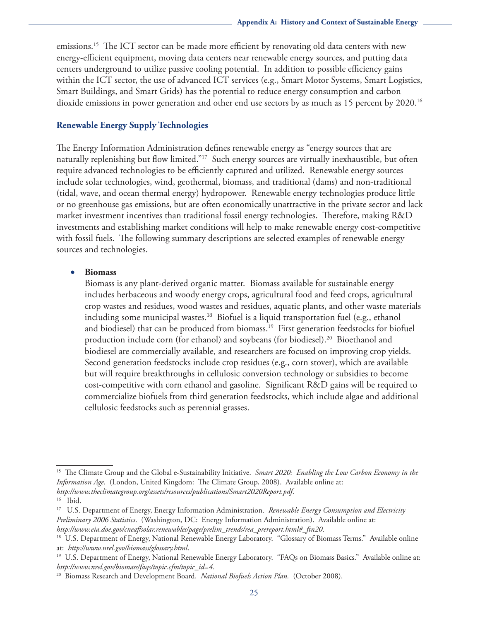emissions.<sup>15</sup> The ICT sector can be made more efficient by renovating old data centers with new energy-efficient equipment, moving data centers near renewable energy sources, and putting data centers underground to utilize passive cooling potential. In addition to possible efficiency gains within the ICT sector, the use of advanced ICT services (e.g., Smart Motor Systems, Smart Logistics, Smart Buildings, and Smart Grids) has the potential to reduce energy consumption and carbon dioxide emissions in power generation and other end use sectors by as much as 15 percent by 2020.16

## **Renewable Energy Supply Technologies**

The Energy Information Administration defines renewable energy as "energy sources that are naturally replenishing but flow limited."<sup>17</sup> Such energy sources are virtually inexhaustible, but often require advanced technologies to be efficiently captured and utilized. Renewable energy sources include solar technologies, wind, geothermal, biomass, and traditional (dams) and non-traditional (tidal, wave, and ocean thermal energy) hydropower. Renewable energy technologies produce little or no greenhouse gas emissions, but are often economically unattractive in the private sector and lack market investment incentives than traditional fossil energy technologies. Therefore, making R&D investments and establishing market conditions will help to make renewable energy cost-competitive with fossil fuels. The following summary descriptions are selected examples of renewable energy sources and technologies.

#### • **Biomass**

Biomass is any plant-derived organic matter. Biomass available for sustainable energy includes herbaceous and woody energy crops, agricultural food and feed crops, agricultural crop wastes and residues, wood wastes and residues, aquatic plants, and other waste materials including some municipal wastes.<sup>18</sup> Biofuel is a liquid transportation fuel (e.g., ethanol and biodiesel) that can be produced from biomass.<sup>19</sup> First generation feedstocks for biofuel production include corn (for ethanol) and soybeans (for biodiesel).20 Bioethanol and biodiesel are commercially available, and researchers are focused on improving crop yields. Second generation feedstocks include crop residues (e.g., corn stover), which are available but will require breakthroughs in cellulosic conversion technology or subsidies to become cost-competitive with corn ethanol and gasoline. Significant R&D gains will be required to commercialize biofuels from third generation feedstocks, which include algae and additional cellulosic feedstocks such as perennial grasses.

*[http://www.theclimategroup.org/assets/resources/publications/Smart2020Report.pdf](http://www.theclimategroup.org/assets/resources/publications/Smart2020Report.pdf.16)*.

<sup>15</sup> The Climate Group and the Global e-Sustainability Initiative. *Smart 2020: Enabling the Low Carbon Economy in the Information Age*. (London, United Kingdom: The Climate Group, 2008). Available online at:

[<sup>16</sup> I](http://www.theclimategroup.org/assets/resources/publications/Smart2020Report.pdf.16)bid.

<sup>17</sup> U.S. Department of Energy, Energy Information Administration. *Renewable Energy Consumption and Electricity Preliminary 2006 Statistics*. (Washington, DC: Energy Information Administration). Available online at:

*http://www.eia.doe.gov/cneaf/solar.renewables/page/prelim\_trends/rea\_prereport.html#\_ftn20*[.](http://www.eia.doe.gov/cneaf/solar.renewables/page/prelim_trends/rea_prereport.html#_ftn20) 18 U.S. Department of Energy, National Renewable Energy Laboratory. "Glossary of Biomass Terms." Available online

at: *[http://www.nrel.gov/biomass/glossary.html](http://www.nrel.gov/biomass/glossary.html.19)*.

<sup>&</sup>lt;sup>19</sup> U.S. Department of Energy, National Renewable Energy Laboratory. "FAQs on Biomass Basics." Available online at: *[http://www.nrel.gov/biomass/faqs/topic.cfm/topic\\_id=4](http://www.nrel.gov/biomass/faqs/topic.cfm/topic_id=4.20)*.

<sup>20</sup> Biomass Research and Development Board. *National Biofuels Action Plan.* (October 2008).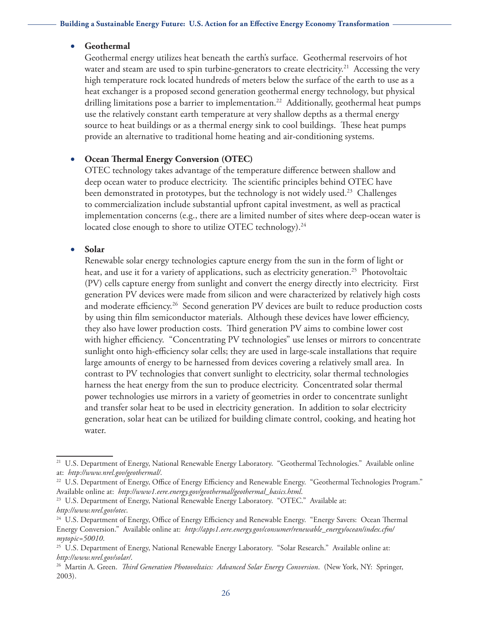## • **Geothermal**

Geothermal energy utilizes heat beneath the earth's surface. Geothermal reservoirs of hot water and steam are used to spin turbine-generators to create electricity.<sup>21</sup> Accessing the very high temperature rock located hundreds of meters below the surface of the earth to use as a heat exchanger is a proposed second generation geothermal energy technology, but physical drilling limitations pose a barrier to implementation.<sup>22</sup> Additionally, geothermal heat pumps use the relatively constant earth temperature at very shallow depths as a thermal energy source to heat buildings or as a thermal energy sink to cool buildings. These heat pumps provide an alternative to traditional home heating and air-conditioning systems.

# **Ocean Thermal Energy Conversion (OTEC)**

OTEC technology takes advantage of the temperature difference between shallow and deep ocean water to produce electricity. The scientific principles behind OTEC have been demonstrated in prototypes, but the technology is not widely used.<sup>23</sup> Challenges to commercialization include substantial upfront capital investment, as well as practical implementation concerns (e.g., there are a limited number of sites where deep-ocean water is located close enough to shore to utilize OTEC technology).<sup>24</sup>

## • **Solar**

Renewable solar energy technologies capture energy from the sun in the form of light or heat, and use it for a variety of applications, such as electricity generation.<sup>25</sup> Photovoltaic (PV) cells capture energy from sunlight and convert the energy directly into electricity. First generation PV devices were made from silicon and were characterized by relatively high costs and moderate efficiency.<sup>26</sup> Second generation PV devices are built to reduce production costs by using thin film semiconductor materials. Although these devices have lower efficiency, they also have lower production costs. Third generation PV aims to combine lower cost with higher efficiency. "Concentrating PV technologies" use lenses or mirrors to concentrate sunlight onto high-efficiency solar cells; they are used in large-scale installations that require large amounts of energy to be harnessed from devices covering a relatively small area. In contrast to PV technologies that convert sunlight to electricity, solar thermal technologies harness the heat energy from the sun to produce electricity. Concentrated solar thermal power technologies use mirrors in a variety of geometries in order to concentrate sunlight and transfer solar heat to be used in electricity generation. In addition to solar electricity generation, solar heat can be utilized for building climate control, cooking, and heating hot water.

<sup>&</sup>lt;sup>21</sup> U.S. Department of Energy, National Renewable Energy Laboratory. "Geothermal Technologies." Available online at: *<http://www.nrel.gov/geothermal/>*.

<sup>&</sup>lt;sup>22</sup> U.S. Department of Energy, Office of Energy Efficiency and Renewable Energy. "Geothermal Technologies Program." Available online at: *[http://www1.eere.energy.gov/geothermal/geothermal\\_basics.html](http://www1.eere.energy.gov/geothermal/geothermal_basics.html)*.

<sup>&</sup>lt;sup>23</sup> U.S. Department of Energy, National Renewable Energy Laboratory. "OTEC." Available at: *<http://www.nrel.gov/otec>*.

<sup>&</sup>lt;sup>24</sup> U.S. Department of Energy, Office of Energy Efficiency and Renewable Energy. "Energy Savers: Ocean Thermal Energy Conversion." Available online at: *[http://apps1.eere.energy.gov/consumer/renewable\\_energy/ocean/index.cfm/](http://apps1.eere.energy.gov/consumer/renewable_energy/ocean/index.cfm/) mytopic=50010*.

<sup>25</sup> U.S. Department of Energy, National Renewable Energy Laboratory. "Solar Research." Available online at: *<http://www.nrel.gov/solar/>*.

<sup>26</sup> Martin A. Green. *Third Generation Photovoltaics: Advanced Solar Energy Conversion*. (New York, NY: Springer, 2003).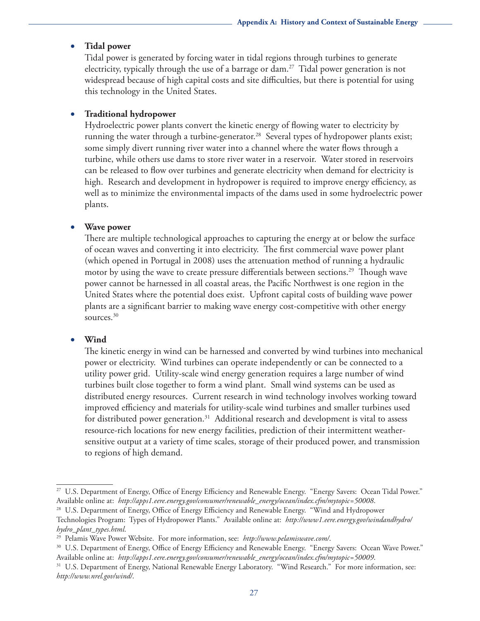#### • **Tidal power**

Tidal power is generated by forcing water in tidal regions through turbines to generate electricity, typically through the use of a barrage or dam.<sup>27</sup> Tidal power generation is not widespread because of high capital costs and site difficulties, but there is potential for using this technology in the United States.

#### **Traditional hydropower**

Hydroelectric power plants convert the kinetic energy of flowing water to electricity by running the water through a turbine-generator.<sup>28</sup> Several types of hydropower plants exist; some simply divert running river water into a channel where the water flows through a turbine, while others use dams to store river water in a reservoir. Water stored in reservoirs can be released to flow over turbines and generate electricity when demand for electricity is high. Research and development in hydropower is required to improve energy efficiency, as well as to minimize the environmental impacts of the dams used in some hydroelectric power plants.

#### **Wave power**

There are multiple technological approaches to capturing the energy at or below the surface of ocean waves and converting it into electricity. The first commercial wave power plant (which opened in Portugal in 2008) uses the attenuation method of running a hydraulic motor by using the wave to create pressure differentials between sections.<sup>29</sup> Though wave power cannot be harnessed in all coastal areas, the Pacific Northwest is one region in the United States where the potential does exist. Upfront capital costs of building wave power plants are a significant barrier to making wave energy cost-competitive with other energy sources.<sup>30</sup>

#### • **Wind**

The kinetic energy in wind can be harnessed and converted by wind turbines into mechanical power or electricity. Wind turbines can operate independently or can be connected to a utility power grid. Utility-scale wind energy generation requires a large number of wind turbines built close together to form a wind plant. Small wind systems can be used as distributed energy resources. Current research in wind technology involves working toward improved efficiency and materials for utility-scale wind turbines and smaller turbines used for distributed power generation.<sup>31</sup> Additional research and development is vital to assess resource-rich locations for new energy facilities, prediction of their intermittent weathersensitive output at a variety of time scales, storage of their produced power, and transmission to regions of high demand.

<sup>&</sup>lt;sup>27</sup> U.S. Department of Energy, Office of Energy Efficiency and Renewable Energy. "Energy Savers: Ocean Tidal Power." Available online at: *[http://apps1.eere.energy.gov/consumer/renewable\\_energy/ocean/index.cfm/mytopic=50008](http://apps1.eere.energy.gov/consumer/renewable_energy/ocean/index.cfm/mytopic=50008.28)*.

<sup>&</sup>lt;sup>28</sup> U.S. Department of Energy, Office of Energy Efficiency and Renewable Energy. "Wind and Hydropower

Technologies Program: Types of Hydropower Plants." Available online at: *[http://www1.eere.energy.gov/windandhydro/](http://www1.eere.energy.gov/windandhydro/hydro_plant_types.html.29) [hydro\\_plant\\_types.html](http://www1.eere.energy.gov/windandhydro/hydro_plant_types.html.29)*.

<sup>&</sup>lt;sup>29</sup> Pelamis Wave Power Website[.](http://www.pelamiswave.com/) For more information, see: *http://www.pelamiswave.com/*.<br><sup>30</sup> U.S. Department of Energy, Office of Energy Efficiency and Renewable Energy. "Energy Savers: Ocean Wave Power." Available online at: *[http://apps1.eere.energy.gov/consumer/renewable\\_energy/ocean/index.cfm/mytopic=50009](http://apps1.eere.energy.gov/consumer/renewable_energy/ocean/index.cfm/mytopic=50009.31)*.

<sup>&</sup>lt;sup>31</sup> U.S. Department of Energy, National Renewable Energy Laboratory. "Wind Research." For more information, see: *http://www.nrel.gov/wind/*.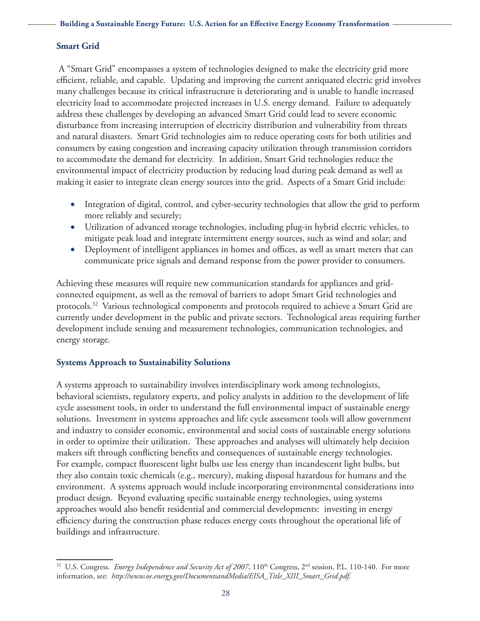# **Smart Grid**

 A "Smart Grid" encompasses a system of technologies designed to make the electricity grid more efficient, reliable, and capable. Updating and improving the current antiquated electric grid involves many challenges because its critical infrastructure is deteriorating and is unable to handle increased electricity load to accommodate projected increases in U.S. energy demand. Failure to adequately address these challenges by developing an advanced Smart Grid could lead to severe economic disturbance from increasing interruption of electricity distribution and vulnerability from threats and natural disasters. Smart Grid technologies aim to reduce operating costs for both utilities and consumers by easing congestion and increasing capacity utilization through transmission corridors to accommodate the demand for electricity. In addition, Smart Grid technologies reduce the environmental impact of electricity production by reducing load during peak demand as well as making it easier to integrate clean energy sources into the grid. Aspects of a Smart Grid include:

- Integration of digital, control, and cyber-security technologies that allow the grid to perform more reliably and securely;
- Utilization of advanced storage technologies, including plug-in hybrid electric vehicles, to mitigate peak load and integrate intermittent energy sources, such as wind and solar; and
- Deployment of intelligent appliances in homes and offices, as well as smart meters that can communicate price signals and demand response from the power provider to consumers.

Achieving these measures will require new communication standards for appliances and gridconnected equipment, as well as the removal of barriers to adopt Smart Grid technologies and protocols.<sup>32</sup> Various technological components and protocols required to achieve a Smart Grid are currently under development in the public and private sectors. Technological areas requiring further development include sensing and measurement technologies, communication technologies, and energy storage.

# **Systems Approach to Sustainability Solutions**

A systems approach to sustainability involves interdisciplinary work among technologists, behavioral scientists, regulatory experts, and policy analysts in addition to the development of life cycle assessment tools, in order to understand the full environmental impact of sustainable energy solutions. Investment in systems approaches and life cycle assessment tools will allow government and industry to consider economic, environmental and social costs of sustainable energy solutions in order to optimize their utilization. These approaches and analyses will ultimately help decision makers sift through conflicting benefits and consequences of sustainable energy technologies. For example, compact fluorescent light bulbs use less energy than incandescent light bulbs, but they also contain toxic chemicals (e.g., mercury), making disposal hazardous for humans and the environment. A systems approach would include incorporating environmental considerations into product design. Beyond evaluating specific sustainable energy technologies, using systems approaches would also benefit residential and commercial developments: investing in energy efficiency during the construction phase reduces energy costs throughout the operational life of buildings and infrastructure.

<sup>&</sup>lt;sup>32</sup> U.S. Congress. *Energy Independence and Security Act of 2007*, 110<sup>th</sup> Congress, 2<sup>nd</sup> session, P.L. 110-140. For more information, see: *[http://www.oe.energy.gov/DocumentsandMedia/EISA\\_Title\\_XIII\\_Smart\\_Grid.pdf](http://www.oe.energy.gov/DocumentsandMedia/EISA_Title_XIII_Smart_Grid.pdf)*.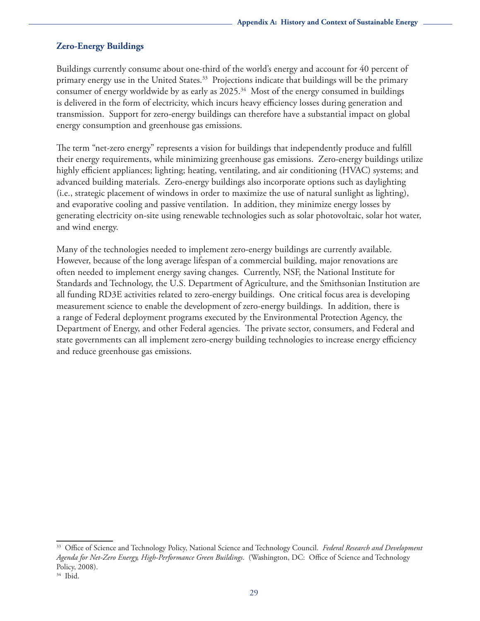# **Zero-Energy Buildings**

Buildings currently consume about one-third of the world's energy and account for 40 percent of primary energy use in the United States.<sup>33</sup> Projections indicate that buildings will be the primary consumer of energy worldwide by as early as  $2025.^{34}$  Most of the energy consumed in buildings is delivered in the form of electricity, which incurs heavy efficiency losses during generation and transmission. Support for zero-energy buildings can therefore have a substantial impact on global energy consumption and greenhouse gas emissions.

The term "net-zero energy" represents a vision for buildings that independently produce and fulfill their energy requirements, while minimizing greenhouse gas emissions. Zero-energy buildings utilize highly efficient appliances; lighting; heating, ventilating, and air conditioning (HVAC) systems; and advanced building materials. Zero-energy buildings also incorporate options such as daylighting (i.e., strategic placement of windows in order to maximize the use of natural sunlight as lighting), and evaporative cooling and passive ventilation. In addition, they minimize energy losses by generating electricity on-site using renewable technologies such as solar photovoltaic, solar hot water, and wind energy.

Many of the technologies needed to implement zero-energy buildings are currently available. However, because of the long average lifespan of a commercial building, major renovations are often needed to implement energy saving changes. Currently, NSF, the National Institute for Standards and Technology, the U.S. Department of Agriculture, and the Smithsonian Institution are all funding RD3E activities related to zero-energy buildings. One critical focus area is developing measurement science to enable the development of zero-energy buildings. In addition, there is a range of Federal deployment programs executed by the Environmental Protection Agency, the Department of Energy, and other Federal agencies. The private sector, consumers, and Federal and state governments can all implement zero-energy building technologies to increase energy efficiency and reduce greenhouse gas emissions.

<sup>33</sup> Office of Science and Technology Policy, National Science and Technology Council. *Federal Research and Development Agenda for Net-Zero Energy, High-Performance Green Buildings*. (Washington, DC: Office of Science and Technology Policy, 2008).

 $34$  Ibid.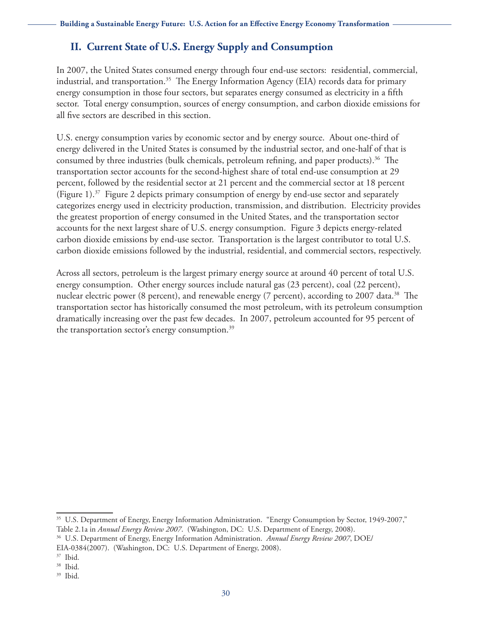# **II. Current State of U.S. Energy Supply and Consumption**

In 2007, the United States consumed energy through four end-use sectors: residential, commercial, industrial, and transportation.<sup>35</sup> The Energy Information Agency (EIA) records data for primary energy consumption in those four sectors, but separates energy consumed as electricity in a fifth sector. Total energy consumption, sources of energy consumption, and carbon dioxide emissions for all five sectors are described in this section.

U.S. energy consumption varies by economic sector and by energy source. About one-third of energy delivered in the United States is consumed by the industrial sector, and one-half of that is consumed by three industries (bulk chemicals, petroleum refining, and paper products).<sup>36</sup> The transportation sector accounts for the second-highest share of total end-use consumption at 29 percent, followed by the residential sector at 21 percent and the commercial sector at 18 percent (Figure 1).<sup>37</sup> Figure 2 depicts primary consumption of energy by end-use sector and separately categorizes energy used in electricity production, transmission, and distribution. Electricity provides the greatest proportion of energy consumed in the United States, and the transportation sector accounts for the next largest share of U.S. energy consumption. Figure 3 depicts energy-related carbon dioxide emissions by end-use sector. Transportation is the largest contributor to total U.S. carbon dioxide emissions followed by the industrial, residential, and commercial sectors, respectively.

Across all sectors, petroleum is the largest primary energy source at around 40 percent of total U.S. energy consumption. Other energy sources include natural gas (23 percent), coal (22 percent), nuclear electric power (8 percent), and renewable energy (7 percent), according to 2007 data.<sup>38</sup> The transportation sector has historically consumed the most petroleum, with its petroleum consumption dramatically increasing over the past few decades. In 2007, petroleum accounted for 95 percent of the transportation sector's energy consumption.<sup>39</sup>

<sup>&</sup>lt;sup>35</sup> U.S. Department of Energy, Energy Information Administration. "Energy Consumption by Sector, 1949-2007,"

Table 2.1a in *Annual Energy Review 2007*. (Washington, DC: U.S. Department of Energy, 2008). 36 U.S. Department of Energy, Energy Information Administration. *Annual Energy Review 2007*, DOE/

EIA-0384(2007). (Washington, DC: U.S. Department of Energy, 2008).

<sup>37</sup> Ibid.

<sup>38</sup> Ibid.

<sup>39</sup> Ibid.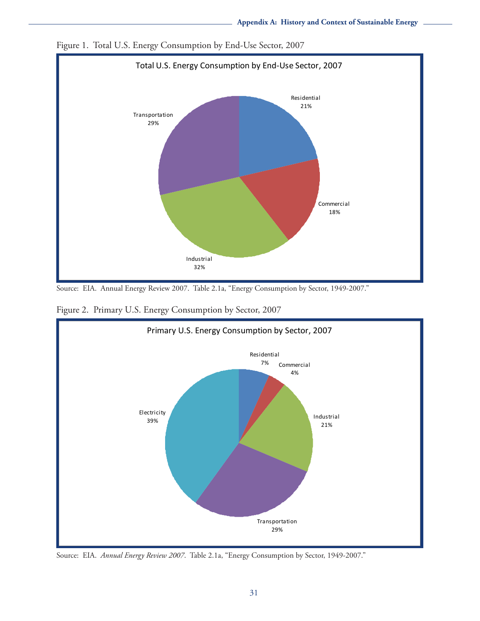

Figure 1. Total U.S. Energy Consumption by End-Use Sector, 2007

Source: EIA. Annual Energy Review 2007. Table 2.1a, "Energy Consumption by Sector, 1949-2007."

Figure 2. Primary U.S. Energy Consumption by Sector, 2007



Source: EIA. *Annual Energy Review 2007*. Table 2.1a, "Energy Consumption by Sector, 1949-2007."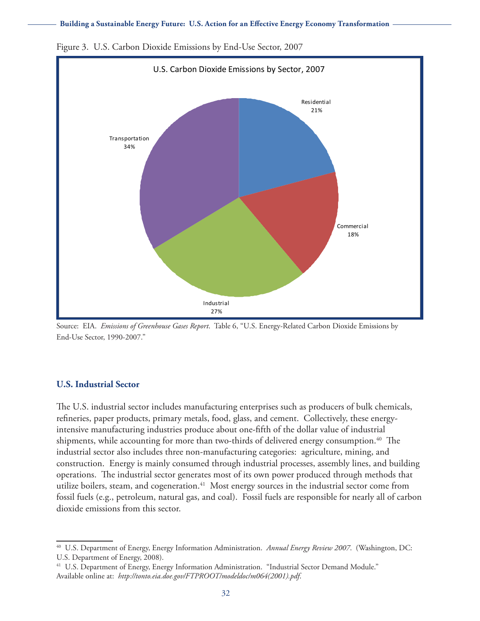#### **Building a Sustainable Energy Future: U.S. Action for an Effective Energy Economy Transformation**



Figure 3. U.S. Carbon Dioxide Emissions by End-Use Sector, 2007

Source: EIA. *Emissions of Greenhouse Gases Report*. Table 6, "U.S. Energy-Related Carbon Dioxide Emissions by End-Use Sector, 1990-2007."

## **U.S. Industrial Sector**

The U.S. industrial sector includes manufacturing enterprises such as producers of bulk chemicals, refineries, paper products, primary metals, food, glass, and cement. Collectively, these energyintensive manufacturing industries produce about one-fifth of the dollar value of industrial shipments, while accounting for more than two-thirds of delivered energy consumption.<sup>40</sup> The industrial sector also includes three non-manufacturing categories: agriculture, mining, and construction. Energy is mainly consumed through industrial processes, assembly lines, and building operations. The industrial sector generates most of its own power produced through methods that utilize boilers, steam, and cogeneration.<sup>41</sup> Most energy sources in the industrial sector come from fossil fuels (e.g., petroleum, natural gas, and coal). Fossil fuels are responsible for nearly all of carbon dioxide emissions from this sector.

<sup>40</sup> U.S. Department of Energy, Energy Information Administration. *Annual Energy Review 2007*. (Washington, DC: U.S. Department of Energy, 2008).

<sup>&</sup>lt;sup>41</sup> U.S. Department of Energy, Energy Information Administration. "Industrial Sector Demand Module." Available online at: *[http://tonto.eia.doe.gov/FTPROOT/modeldoc/m064\(200](http://tonto.eia.doe.gov/FTPROOT/modeldoc/m064)1).pdf*.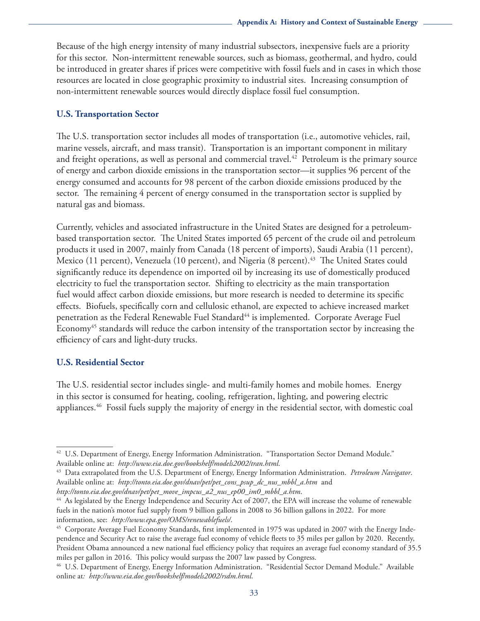Because of the high energy intensity of many industrial subsectors, inexpensive fuels are a priority for this sector. Non-intermittent renewable sources, such as biomass, geothermal, and hydro, could be introduced in greater shares if prices were competitive with fossil fuels and in cases in which those resources are located in close geographic proximity to industrial sites. Increasing consumption of non-intermittent renewable sources would directly displace fossil fuel consumption.

### **U.S. Transportation Sector**

The U.S. transportation sector includes all modes of transportation (i.e., automotive vehicles, rail, marine vessels, aircraft, and mass transit). Transportation is an important component in military and freight operations, as well as personal and commercial travel.<sup>42</sup> Petroleum is the primary source of energy and carbon dioxide emissions in the transportation sector—it supplies 96 percent of the energy consumed and accounts for 98 percent of the carbon dioxide emissions produced by the sector. The remaining 4 percent of energy consumed in the transportation sector is supplied by natural gas and biomass.

Currently, vehicles and associated infrastructure in the United States are designed for a petroleumbased transportation sector. The United States imported 65 percent of the crude oil and petroleum products it used in 2007, mainly from Canada (18 percent of imports), Saudi Arabia (11 percent), Mexico (11 percent), Venezuela (10 percent), and Nigeria (8 percent).<sup>43</sup> The United States could significantly reduce its dependence on imported oil by increasing its use of domestically produced electricity to fuel the transportation sector. Shifting to electricity as the main transportation fuel would affect carbon dioxide emissions, but more research is needed to determine its specific effects. Biofuels, specifically corn and cellulosic ethanol, are expected to achieve increased market penetration as the Federal Renewable Fuel Standard<sup>44</sup> is implemented. Corporate Average Fuel Economy<sup>45</sup> standards will reduce the carbon intensity of the transportation sector by increasing the efficiency of cars and light-duty trucks.

## **U.S. Residential Sector**

The U.S. residential sector includes single- and multi-family homes and mobile homes. Energy in this sector is consumed for heating, cooling, refrigeration, lighting, and powering electric appliances.46 Fossil fuels supply the majority of energy in the residential sector, with domestic coal

*[http://tonto.eia.doe.gov/dnav/pet/pet\\_move\\_impcus\\_a2\\_nus\\_ep00\\_im0\\_mbbl\\_a.htm](http://tonto.eia.doe.gov/dnav/pet/pet_move_impcus_a2_nus_ep00_im0_mbbl_a.htm.44)*.

<sup>&</sup>lt;sup>42</sup> U.S. Department of Energy, Energy Information Administration. "Transportation Sector Demand Module." Available online at: *http://www.eia.doe.gov/bookshelf/models2002/tran.html*[.](http://www.eia.doe.gov/bookshelf/models2002/tran.html) 43 Data extrapolated from the U.S. Department of Energy, Energy Information Administration. *Petroleum Navigator*.

Available online at: *[http://tonto.eia.doe.gov/dnav/pet/pet\\_cons\\_psup\\_dc\\_nus\\_mbbl\\_a.htm](http://tonto.eia.doe.gov/dnav/pet/pet_cons_psup_dc_nus_mbbl_a.htm)* and

[<sup>44</sup> A](http://tonto.eia.doe.gov/dnav/pet/pet_move_impcus_a2_nus_ep00_im0_mbbl_a.htm.44)s legislated by the Energy Independence and Security Act of 2007, the EPA will increase the volume of renewable fuels in the nation's motor fuel supply from 9 billion gallons in 2008 to 36 billion gallons in 2022. For more information, see: *http://www.epa.gov/OMS/renewablefuels/*.<br><sup>45</sup> Corporate Average Fuel Economy Standards, first implemented in 1975 was updated in 2007 with the Energy Inde-

pendence and Security Act to raise the average fuel economy of vehicle fleets to 35 miles per gallon by 2020. Recently, President Obama announced a new national fuel efficiency policy that requires an average fuel economy standard of 35.5 miles per gallon in 2016. This policy would surpass the 2007 law passed by Congress.

<sup>46</sup> U.S. Department of Energy, Energy Information Administration. "Residential Sector Demand Module." Available online at*: <http://www.eia.doe.gov/bookshelf/models2002/rsdm.html>*.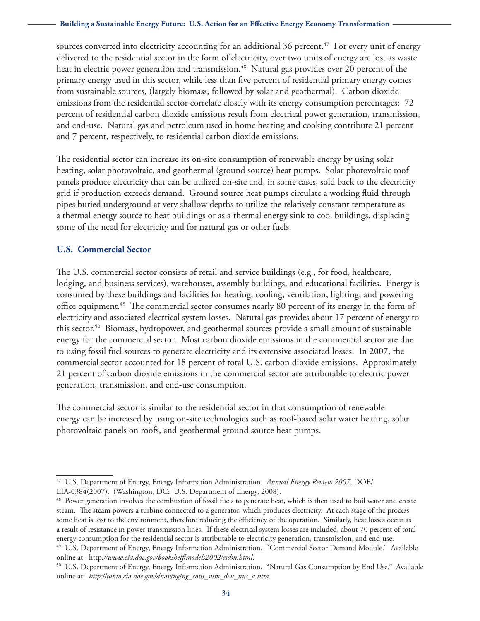#### **Building a Sustainable Energy Future: U.S. Action for an Effective Energy Economy Transformation**

sources converted into electricity accounting for an additional 36 percent.<sup>47</sup> For every unit of energy delivered to the residential sector in the form of electricity, over two units of energy are lost as waste heat in electric power generation and transmission.<sup>48</sup> Natural gas provides over 20 percent of the primary energy used in this sector, while less than five percent of residential primary energy comes from sustainable sources, (largely biomass, followed by solar and geothermal). Carbon dioxide emissions from the residential sector correlate closely with its energy consumption percentages: 72 percent of residential carbon dioxide emissions result from electrical power generation, transmission, and end-use. Natural gas and petroleum used in home heating and cooking contribute 21 percent and 7 percent, respectively, to residential carbon dioxide emissions.

The residential sector can increase its on-site consumption of renewable energy by using solar heating, solar photovoltaic, and geothermal (ground source) heat pumps. Solar photovoltaic roof panels produce electricity that can be utilized on-site and, in some cases, sold back to the electricity grid if production exceeds demand. Ground source heat pumps circulate a working fluid through pipes buried underground at very shallow depths to utilize the relatively constant temperature as a thermal energy source to heat buildings or as a thermal energy sink to cool buildings, displacing some of the need for electricity and for natural gas or other fuels.

## **U.S. Commercial Sector**

The U.S. commercial sector consists of retail and service buildings (e.g., for food, healthcare, lodging, and business services), warehouses, assembly buildings, and educational facilities. Energy is consumed by these buildings and facilities for heating, cooling, ventilation, lighting, and powering office equipment.<sup>49</sup> The commercial sector consumes nearly 80 percent of its energy in the form of electricity and associated electrical system losses. Natural gas provides about 17 percent of energy to this sector.50 Biomass, hydropower, and geothermal sources provide a small amount of sustainable energy for the commercial sector. Most carbon dioxide emissions in the commercial sector are due to using fossil fuel sources to generate electricity and its extensive associated losses. In 2007, the commercial sector accounted for 18 percent of total U.S. carbon dioxide emissions. Approximately 21 percent of carbon dioxide emissions in the commercial sector are attributable to electric power generation, transmission, and end-use consumption.

The commercial sector is similar to the residential sector in that consumption of renewable energy can be increased by using on-site technologies such as roof-based solar water heating, solar photovoltaic panels on roofs, and geothermal ground source heat pumps.

49 U.S. Department of Energy, Energy Information Administration. "Commercial Sector Demand Module." Available online at: http://www.eia.doe.gov/bookshelf/models2002/csdm.html.<br><sup>50</sup> U.S[.](http://www.eia.doe.gov/bookshelf/models2002/csdm.html) Department of Energy, Energy Information Administration. "Natural Gas Consumption by End Use." Available

<sup>47</sup> U.S. Department of Energy, Energy Information Administration. *Annual Energy Review 2007*, DOE/ EIA-0384(2007). (Washington, DC: U.S. Department of Energy, 2008).

<sup>&</sup>lt;sup>48</sup> Power generation involves the combustion of fossil fuels to generate heat, which is then used to boil water and create steam. The steam powers a turbine connected to a generator, which produces electricity. At each stage of the process, some heat is lost to the environment, therefore reducing the efficiency of the operation. Similarly, heat losses occur as a result of resistance in power transmission lines. If these electrical system losses are included, about 70 percent of total energy consumption for the residential sector is attributable to electricity generation, transmission, and end-use.

online at: *http://tonto.eia.doe.gov/dnav/ng/ng\_cons\_sum\_dcu\_nus\_a.htm*.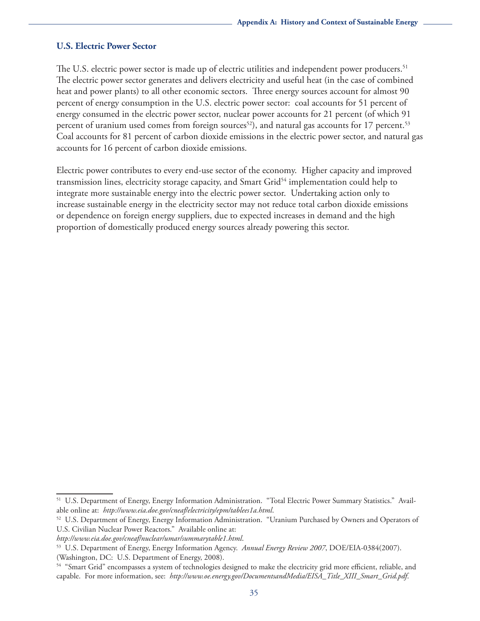## **U.S. Electric Power Sector**

The U.S. electric power sector is made up of electric utilities and independent power producers.<sup>51</sup> The electric power sector generates and delivers electricity and useful heat (in the case of combined heat and power plants) to all other economic sectors. Three energy sources account for almost 90 percent of energy consumption in the U.S. electric power sector: coal accounts for 51 percent of energy consumed in the electric power sector, nuclear power accounts for 21 percent (of which 91 percent of uranium used comes from foreign sources<sup>52</sup>), and natural gas accounts for 17 percent.<sup>53</sup> Coal accounts for 81 percent of carbon dioxide emissions in the electric power sector, and natural gas accounts for 16 percent of carbon dioxide emissions.

Electric power contributes to every end-use sector of the economy. Higher capacity and improved transmission lines, electricity storage capacity, and Smart Grid<sup>54</sup> implementation could help to integrate more sustainable energy into the electric power sector. Undertaking action only to increase sustainable energy in the electricity sector may not reduce total carbon dioxide emissions or dependence on foreign energy suppliers, due to expected increases in demand and the high proportion of domestically produced energy sources already powering this sector.

<sup>51</sup> U.S. Department of Energy, Energy Information Administration. "Total Electric Power Summary Statistics." Available online at: *http://www.eia.doe.gov/cneaf/electricity/epm/tablees1a.html*.<br><sup>52</sup> U.S[.](http://www.eia.doe.gov/cneaf/electricity/epm/tablees1a.html) Department of Energy, Energy Information Administration. "Uranium Purchased by Owners and Operators of

U.S. Civilian Nuclear Power Reactors." Available online at:

*http://www.eia.doe.gov/cneaf/nuclear/umar/summarytable1.html*[.](http://www.eia.doe.gov/cneaf/nuclear/umar/summarytable1.html) 53 U.S. Department of Energy, Energy Information Agency. *Annual Energy Review 2007*, DOE/EIA-0384(2007). (Washington, DC: U.S. Department of Energy, 2008).

<sup>54 &</sup>quot;Smart Grid" encompasses a system of technologies designed to make the electricity grid more efficient, reliable, and capable. For more information, see: *[http://www.oe.energy.gov/DocumentsandMedia/EISA\\_Title\\_XIII\\_Smart\\_Grid.pdf](http://www.oe.energy.gov/DocumentsandMedia/EISA_Title_XIII_Smart_Grid.pdf)*.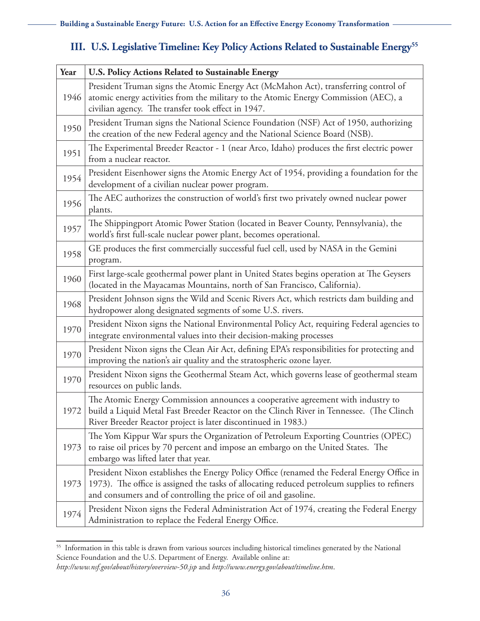# **III. U.S. Legislative Timeline: Key Policy Actions Related to Sustainable Energy<sup>55</sup>**

| Year | U.S. Policy Actions Related to Sustainable Energy                                                                                                                                                                                                             |
|------|---------------------------------------------------------------------------------------------------------------------------------------------------------------------------------------------------------------------------------------------------------------|
| 1946 | President Truman signs the Atomic Energy Act (McMahon Act), transferring control of<br>atomic energy activities from the military to the Atomic Energy Commission (AEC), a<br>civilian agency. The transfer took effect in 1947.                              |
| 1950 | President Truman signs the National Science Foundation (NSF) Act of 1950, authorizing<br>the creation of the new Federal agency and the National Science Board (NSB).                                                                                         |
| 1951 | The Experimental Breeder Reactor - 1 (near Arco, Idaho) produces the first electric power<br>from a nuclear reactor.                                                                                                                                          |
| 1954 | President Eisenhower signs the Atomic Energy Act of 1954, providing a foundation for the<br>development of a civilian nuclear power program.                                                                                                                  |
| 1956 | The AEC authorizes the construction of world's first two privately owned nuclear power<br>plants.                                                                                                                                                             |
| 1957 | The Shippingport Atomic Power Station (located in Beaver County, Pennsylvania), the<br>world's first full-scale nuclear power plant, becomes operational.                                                                                                     |
| 1958 | GE produces the first commercially successful fuel cell, used by NASA in the Gemini<br>program.                                                                                                                                                               |
| 1960 | First large-scale geothermal power plant in United States begins operation at The Geysers<br>(located in the Mayacamas Mountains, north of San Francisco, California).                                                                                        |
| 1968 | President Johnson signs the Wild and Scenic Rivers Act, which restricts dam building and<br>hydropower along designated segments of some U.S. rivers.                                                                                                         |
| 1970 | President Nixon signs the National Environmental Policy Act, requiring Federal agencies to<br>integrate environmental values into their decision-making processes                                                                                             |
| 1970 | President Nixon signs the Clean Air Act, defining EPA's responsibilities for protecting and<br>improving the nation's air quality and the stratospheric ozone layer.                                                                                          |
| 1970 | President Nixon signs the Geothermal Steam Act, which governs lease of geothermal steam<br>resources on public lands.                                                                                                                                         |
| 1972 | The Atomic Energy Commission announces a cooperative agreement with industry to<br>build a Liquid Metal Fast Breeder Reactor on the Clinch River in Tennessee. (The Clinch<br>River Breeder Reactor project is later discontinued in 1983.)                   |
| 1973 | The Yom Kippur War spurs the Organization of Petroleum Exporting Countries (OPEC)<br>to raise oil prices by 70 percent and impose an embargo on the United States. The<br>embargo was lifted later that year.                                                 |
| 1973 | President Nixon establishes the Energy Policy Office (renamed the Federal Energy Office in<br>1973). The office is assigned the tasks of allocating reduced petroleum supplies to refiners<br>and consumers and of controlling the price of oil and gasoline. |
| 1974 | President Nixon signs the Federal Administration Act of 1974, creating the Federal Energy<br>Administration to replace the Federal Energy Office.                                                                                                             |

<sup>&</sup>lt;sup>55</sup> Information in this table is drawn from various sources including historical timelines generated by the National Science Foundation and the U.S. Department of Energy. Available online at:

*<http://www.nsf.gov/about/history/overview-50.jsp>* and *[http://www.energy.gov/about/timeline.htm](http://www.nsf.gov/about/history/overview-50.jsp)*.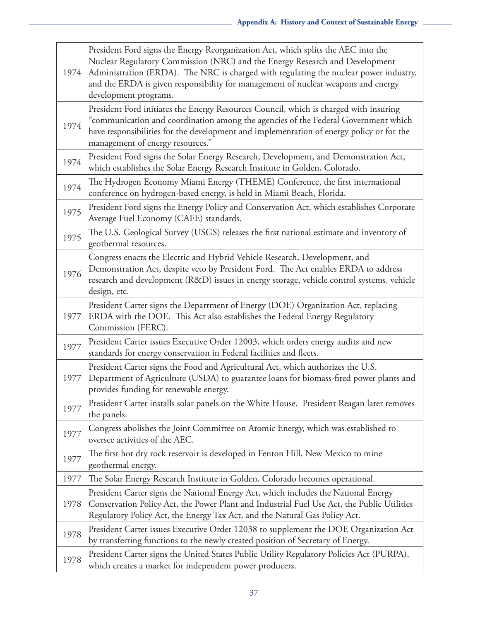| 1974 | President Ford signs the Energy Reorganization Act, which splits the AEC into the<br>Nuclear Regulatory Commission (NRC) and the Energy Research and Development<br>Administration (ERDA). The NRC is charged with regulating the nuclear power industry,<br>and the ERDA is given responsibility for management of nuclear weapons and energy<br>development programs. |
|------|-------------------------------------------------------------------------------------------------------------------------------------------------------------------------------------------------------------------------------------------------------------------------------------------------------------------------------------------------------------------------|
| 1974 | President Ford initiates the Energy Resources Council, which is charged with insuring<br>"communication and coordination among the agencies of the Federal Government which<br>have responsibilities for the development and implementation of energy policy or for the<br>management of energy resources."                                                             |
| 1974 | President Ford signs the Solar Energy Research, Development, and Demonstration Act,<br>which establishes the Solar Energy Research Institute in Golden, Colorado.                                                                                                                                                                                                       |
| 1974 | The Hydrogen Economy Miami Energy (THEME) Conference, the first international<br>conference on hydrogen-based energy, is held in Miami Beach, Florida.                                                                                                                                                                                                                  |
| 1975 | President Ford signs the Energy Policy and Conservation Act, which establishes Corporate<br>Average Fuel Economy (CAFE) standards.                                                                                                                                                                                                                                      |
| 1975 | The U.S. Geological Survey (USGS) releases the first national estimate and inventory of<br>geothermal resources.                                                                                                                                                                                                                                                        |
| 1976 | Congress enacts the Electric and Hybrid Vehicle Research, Development, and<br>Demonstration Act, despite veto by President Ford. The Act enables ERDA to address<br>research and development (R&D) issues in energy storage, vehicle control systems, vehicle<br>design, etc.                                                                                           |
| 1977 | President Carter signs the Department of Energy (DOE) Organization Act, replacing<br>ERDA with the DOE. This Act also establishes the Federal Energy Regulatory<br>Commission (FERC).                                                                                                                                                                                   |
| 1977 | President Carter issues Executive Order 12003, which orders energy audits and new<br>standards for energy conservation in Federal facilities and fleets.                                                                                                                                                                                                                |
| 1977 | President Carter signs the Food and Agricultural Act, which authorizes the U.S.<br>Department of Agriculture (USDA) to guarantee loans for biomass-fired power plants and<br>provides funding for renewable energy.                                                                                                                                                     |
| 1977 | President Carter installs solar panels on the White House. President Reagan later removes<br>the panels.                                                                                                                                                                                                                                                                |
| 1977 | Congress abolishes the Joint Committee on Atomic Energy, which was established to<br>oversee activities of the AEC.                                                                                                                                                                                                                                                     |
| 1977 | The first hot dry rock reservoir is developed in Fenton Hill, New Mexico to mine<br>geothermal energy.                                                                                                                                                                                                                                                                  |
| 1977 | The Solar Energy Research Institute in Golden, Colorado becomes operational.                                                                                                                                                                                                                                                                                            |
| 1978 | President Carter signs the National Energy Act, which includes the National Energy<br>Conservation Policy Act, the Power Plant and Industrial Fuel Use Act, the Public Utilities<br>Regulatory Policy Act, the Energy Tax Act, and the Natural Gas Policy Act.                                                                                                          |
| 1978 | President Carter issues Executive Order 12038 to supplement the DOE Organization Act<br>by transferring functions to the newly created position of Secretary of Energy.                                                                                                                                                                                                 |
| 1978 | President Carter signs the United States Public Utility Regulatory Policies Act (PURPA),<br>which creates a market for independent power producers.                                                                                                                                                                                                                     |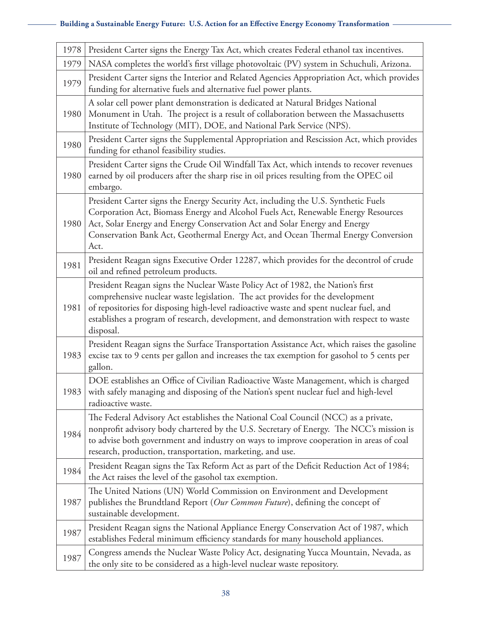| 1978 | President Carter signs the Energy Tax Act, which creates Federal ethanol tax incentives.                                                                                                                                                                                                                                                                           |
|------|--------------------------------------------------------------------------------------------------------------------------------------------------------------------------------------------------------------------------------------------------------------------------------------------------------------------------------------------------------------------|
| 1979 | NASA completes the world's first village photovoltaic (PV) system in Schuchuli, Arizona.                                                                                                                                                                                                                                                                           |
| 1979 | President Carter signs the Interior and Related Agencies Appropriation Act, which provides<br>funding for alternative fuels and alternative fuel power plants.                                                                                                                                                                                                     |
| 1980 | A solar cell power plant demonstration is dedicated at Natural Bridges National<br>Monument in Utah. The project is a result of collaboration between the Massachusetts<br>Institute of Technology (MIT), DOE, and National Park Service (NPS).                                                                                                                    |
| 1980 | President Carter signs the Supplemental Appropriation and Rescission Act, which provides<br>funding for ethanol feasibility studies.                                                                                                                                                                                                                               |
| 1980 | President Carter signs the Crude Oil Windfall Tax Act, which intends to recover revenues<br>earned by oil producers after the sharp rise in oil prices resulting from the OPEC oil<br>embargo.                                                                                                                                                                     |
| 1980 | President Carter signs the Energy Security Act, including the U.S. Synthetic Fuels<br>Corporation Act, Biomass Energy and Alcohol Fuels Act, Renewable Energy Resources<br>Act, Solar Energy and Energy Conservation Act and Solar Energy and Energy<br>Conservation Bank Act, Geothermal Energy Act, and Ocean Thermal Energy Conversion<br>Act.                  |
| 1981 | President Reagan signs Executive Order 12287, which provides for the decontrol of crude<br>oil and refined petroleum products.                                                                                                                                                                                                                                     |
| 1981 | President Reagan signs the Nuclear Waste Policy Act of 1982, the Nation's first<br>comprehensive nuclear waste legislation. The act provides for the development<br>of repositories for disposing high-level radioactive waste and spent nuclear fuel, and<br>establishes a program of research, development, and demonstration with respect to waste<br>disposal. |
| 1983 | President Reagan signs the Surface Transportation Assistance Act, which raises the gasoline<br>excise tax to 9 cents per gallon and increases the tax exemption for gasohol to 5 cents per<br>gallon.                                                                                                                                                              |
|      | DOE establishes an Office of Civilian Radioactive Waste Management, which is charged<br>1983   with safely managing and disposing of the Nation's spent nuclear fuel and high-level<br>radioactive waste.                                                                                                                                                          |
| 1984 | The Federal Advisory Act establishes the National Coal Council (NCC) as a private,<br>nonprofit advisory body chartered by the U.S. Secretary of Energy. The NCC's mission is<br>to advise both government and industry on ways to improve cooperation in areas of coal<br>research, production, transportation, marketing, and use.                               |
| 1984 | President Reagan signs the Tax Reform Act as part of the Deficit Reduction Act of 1984;<br>the Act raises the level of the gasohol tax exemption.                                                                                                                                                                                                                  |
| 1987 | The United Nations (UN) World Commission on Environment and Development<br>publishes the Brundtland Report (Our Common Future), defining the concept of<br>sustainable development.                                                                                                                                                                                |
| 1987 | President Reagan signs the National Appliance Energy Conservation Act of 1987, which<br>establishes Federal minimum efficiency standards for many household appliances.                                                                                                                                                                                            |
| 1987 | Congress amends the Nuclear Waste Policy Act, designating Yucca Mountain, Nevada, as<br>the only site to be considered as a high-level nuclear waste repository.                                                                                                                                                                                                   |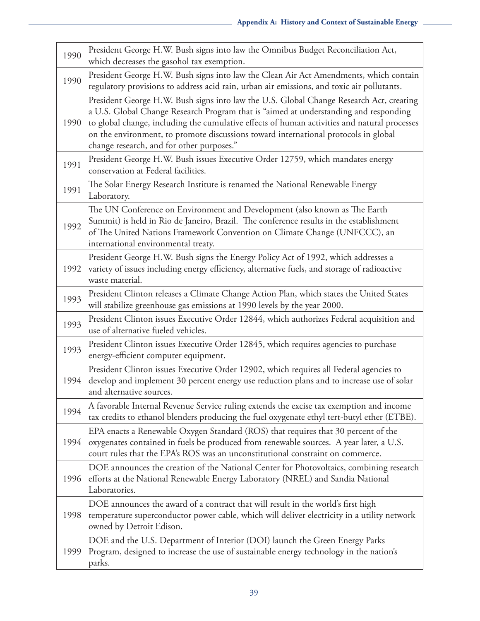| 1990 | President George H.W. Bush signs into law the Omnibus Budget Reconciliation Act,<br>which decreases the gasohol tax exemption.                                                                                                                                                                                                                                                                                      |
|------|---------------------------------------------------------------------------------------------------------------------------------------------------------------------------------------------------------------------------------------------------------------------------------------------------------------------------------------------------------------------------------------------------------------------|
| 1990 | President George H.W. Bush signs into law the Clean Air Act Amendments, which contain<br>regulatory provisions to address acid rain, urban air emissions, and toxic air pollutants.                                                                                                                                                                                                                                 |
| 1990 | President George H.W. Bush signs into law the U.S. Global Change Research Act, creating<br>a U.S. Global Change Research Program that is "aimed at understanding and responding<br>to global change, including the cumulative effects of human activities and natural processes<br>on the environment, to promote discussions toward international protocols in global<br>change research, and for other purposes." |
| 1991 | President George H.W. Bush issues Executive Order 12759, which mandates energy<br>conservation at Federal facilities.                                                                                                                                                                                                                                                                                               |
| 1991 | The Solar Energy Research Institute is renamed the National Renewable Energy<br>Laboratory.                                                                                                                                                                                                                                                                                                                         |
| 1992 | The UN Conference on Environment and Development (also known as The Earth<br>Summit) is held in Rio de Janeiro, Brazil. The conference results in the establishment<br>of The United Nations Framework Convention on Climate Change (UNFCCC), an<br>international environmental treaty.                                                                                                                             |
| 1992 | President George H.W. Bush signs the Energy Policy Act of 1992, which addresses a<br>variety of issues including energy efficiency, alternative fuels, and storage of radioactive<br>waste material.                                                                                                                                                                                                                |
| 1993 | President Clinton releases a Climate Change Action Plan, which states the United States<br>will stabilize greenhouse gas emissions at 1990 levels by the year 2000.                                                                                                                                                                                                                                                 |
| 1993 | President Clinton issues Executive Order 12844, which authorizes Federal acquisition and<br>use of alternative fueled vehicles.                                                                                                                                                                                                                                                                                     |
| 1993 | President Clinton issues Executive Order 12845, which requires agencies to purchase<br>energy-efficient computer equipment.                                                                                                                                                                                                                                                                                         |
| 1994 | President Clinton issues Executive Order 12902, which requires all Federal agencies to<br>develop and implement 30 percent energy use reduction plans and to increase use of solar<br>and alternative sources.                                                                                                                                                                                                      |
| 1994 | A favorable Internal Revenue Service ruling extends the excise tax exemption and income<br>tax credits to ethanol blenders producing the fuel oxygenate ethyl tert-butyl ether (ETBE).                                                                                                                                                                                                                              |
| 1994 | EPA enacts a Renewable Oxygen Standard (ROS) that requires that 30 percent of the<br>oxygenates contained in fuels be produced from renewable sources. A year later, a U.S.<br>court rules that the EPA's ROS was an unconstitutional constraint on commerce.                                                                                                                                                       |
| 1996 | DOE announces the creation of the National Center for Photovoltaics, combining research<br>efforts at the National Renewable Energy Laboratory (NREL) and Sandia National<br>Laboratories.                                                                                                                                                                                                                          |
| 1998 | DOE announces the award of a contract that will result in the world's first high<br>temperature superconductor power cable, which will deliver electricity in a utility network<br>owned by Detroit Edison.                                                                                                                                                                                                         |
| 1999 | DOE and the U.S. Department of Interior (DOI) launch the Green Energy Parks<br>Program, designed to increase the use of sustainable energy technology in the nation's<br>parks.                                                                                                                                                                                                                                     |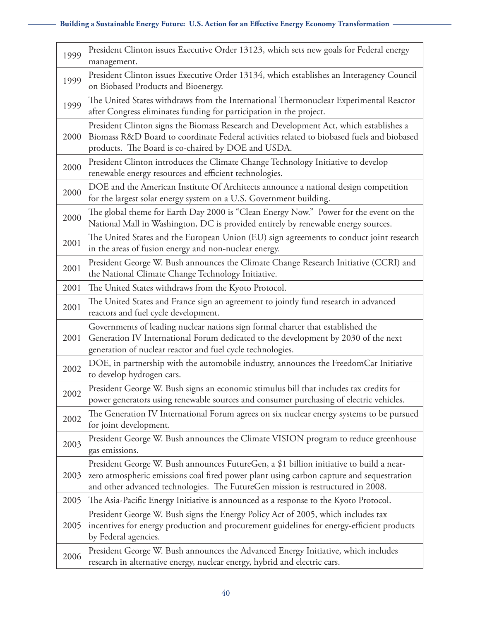| 1999 | President Clinton issues Executive Order 13123, which sets new goals for Federal energy<br>management.                                                                                                                                                                 |
|------|------------------------------------------------------------------------------------------------------------------------------------------------------------------------------------------------------------------------------------------------------------------------|
| 1999 | President Clinton issues Executive Order 13134, which establishes an Interagency Council<br>on Biobased Products and Bioenergy.                                                                                                                                        |
| 1999 | The United States withdraws from the International Thermonuclear Experimental Reactor<br>after Congress eliminates funding for participation in the project.                                                                                                           |
| 2000 | President Clinton signs the Biomass Research and Development Act, which establishes a<br>Biomass R&D Board to coordinate Federal activities related to biobased fuels and biobased<br>products. The Board is co-chaired by DOE and USDA.                               |
| 2000 | President Clinton introduces the Climate Change Technology Initiative to develop<br>renewable energy resources and efficient technologies.                                                                                                                             |
| 2000 | DOE and the American Institute Of Architects announce a national design competition<br>for the largest solar energy system on a U.S. Government building.                                                                                                              |
| 2000 | The global theme for Earth Day 2000 is "Clean Energy Now." Power for the event on the<br>National Mall in Washington, DC is provided entirely by renewable energy sources.                                                                                             |
| 2001 | The United States and the European Union (EU) sign agreements to conduct joint research<br>in the areas of fusion energy and non-nuclear energy.                                                                                                                       |
| 2001 | President George W. Bush announces the Climate Change Research Initiative (CCRI) and<br>the National Climate Change Technology Initiative.                                                                                                                             |
| 2001 | The United States withdraws from the Kyoto Protocol.                                                                                                                                                                                                                   |
| 2001 | The United States and France sign an agreement to jointly fund research in advanced<br>reactors and fuel cycle development.                                                                                                                                            |
| 2001 | Governments of leading nuclear nations sign formal charter that established the<br>Generation IV International Forum dedicated to the development by 2030 of the next<br>generation of nuclear reactor and fuel cycle technologies.                                    |
| 2002 | DOE, in partnership with the automobile industry, announces the FreedomCar Initiative<br>to develop hydrogen cars.                                                                                                                                                     |
| 2002 | President George W. Bush signs an economic stimulus bill that includes tax credits for<br>power generators using renewable sources and consumer purchasing of electric vehicles.                                                                                       |
| 2002 | The Generation IV International Forum agrees on six nuclear energy systems to be pursued<br>for joint development.                                                                                                                                                     |
| 2003 | President George W. Bush announces the Climate VISION program to reduce greenhouse<br>gas emissions.                                                                                                                                                                   |
| 2003 | President George W. Bush announces FutureGen, a \$1 billion initiative to build a near-<br>zero atmospheric emissions coal fired power plant using carbon capture and sequestration<br>and other advanced technologies. The FutureGen mission is restructured in 2008. |
| 2005 | The Asia-Pacific Energy Initiative is announced as a response to the Kyoto Protocol.                                                                                                                                                                                   |
| 2005 | President George W. Bush signs the Energy Policy Act of 2005, which includes tax<br>incentives for energy production and procurement guidelines for energy-efficient products<br>by Federal agencies.                                                                  |
| 2006 | President George W. Bush announces the Advanced Energy Initiative, which includes<br>research in alternative energy, nuclear energy, hybrid and electric cars.                                                                                                         |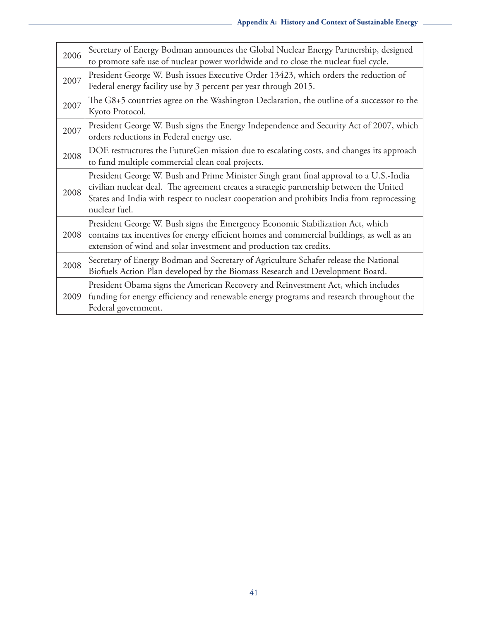| 2006 | Secretary of Energy Bodman announces the Global Nuclear Energy Partnership, designed<br>to promote safe use of nuclear power worldwide and to close the nuclear fuel cycle.                                                                                                                      |
|------|--------------------------------------------------------------------------------------------------------------------------------------------------------------------------------------------------------------------------------------------------------------------------------------------------|
| 2007 | President George W. Bush issues Executive Order 13423, which orders the reduction of<br>Federal energy facility use by 3 percent per year through 2015.                                                                                                                                          |
| 2007 | The G8+5 countries agree on the Washington Declaration, the outline of a successor to the<br>Kyoto Protocol.                                                                                                                                                                                     |
| 2007 | President George W. Bush signs the Energy Independence and Security Act of 2007, which<br>orders reductions in Federal energy use.                                                                                                                                                               |
| 2008 | DOE restructures the FutureGen mission due to escalating costs, and changes its approach<br>to fund multiple commercial clean coal projects.                                                                                                                                                     |
| 2008 | President George W. Bush and Prime Minister Singh grant final approval to a U.S.-India<br>civilian nuclear deal. The agreement creates a strategic partnership between the United<br>States and India with respect to nuclear cooperation and prohibits India from reprocessing<br>nuclear fuel. |
| 2008 | President George W. Bush signs the Emergency Economic Stabilization Act, which<br>contains tax incentives for energy efficient homes and commercial buildings, as well as an<br>extension of wind and solar investment and production tax credits.                                               |
| 2008 | Secretary of Energy Bodman and Secretary of Agriculture Schafer release the National<br>Biofuels Action Plan developed by the Biomass Research and Development Board.                                                                                                                            |
| 2009 | President Obama signs the American Recovery and Reinvestment Act, which includes<br>funding for energy efficiency and renewable energy programs and research throughout the<br>Federal government.                                                                                               |